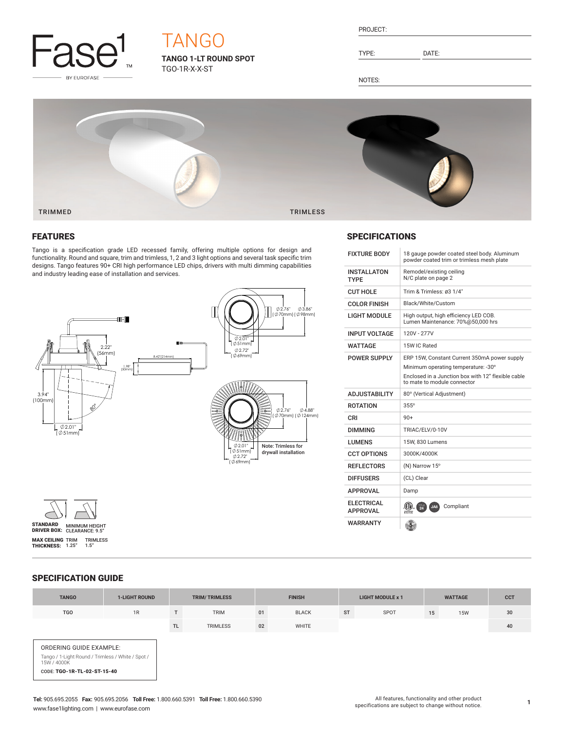

# TANGO

**TANGO 1-LT ROUND SPOT** TGO-1R-X-X-ST

| ∙RO.∶<br>IF ( |
|---------------|
|               |

TYPE: DATE:

SPECIFICATIONS

INSTALLATON TYPE

NOTES:



## FEATURES

Tango is a specification grade LED recessed family, offering multiple options for design and functionality. Round and square, trim and trimless, 1, 2 and 3 light options and several task specific trim designs. Tango features 90+ CRI high performance LED chips, drivers with multi dimming capabilities and industry leading ease of installation and services.





## LIGHT MODULE High output, high efficiency LED COB. Lumen Maintenance: 70%@50,000 hrs INPUT VOLTAGE 120V - 277V WATTAGE 15W IC Rated POWER SUPPLY ERP 15W, Constant Current 350mA power supply Minimum operating temperature: -30° Enclosed in a Junction box with 12" flexible cable to mate to module connector ADJUSTABILITY 80° (Vertical Adjustment) ROTATION 355° CRI 90+ DIMMING TRIAC/ELV/0-10V LUMENS 15W, 830 Lumens CCT OPTIONS 3000K/4000K REFLECTORS (N) Narrow 15° DIFFUSERS (CL) Clear

 $APPROVAL$   $\frac{\left(\left(\mathbf{I}\right)\right)_{\text{cr}}}{\text{Interest}}$  JA8 Compliant

 $\frac{3}{5}$ 

APPROVAL Damp

ELECTRICAL<br>APPROVAL

WARRANTY

CUT HOLE Trim & Trimless: ø3 1/4" COLOR FINISH Black/White/Custom

FIXTURE BODY 18 gauge powder coated steel body. Aluminum powder coated trim or trimless mesh plate

Remodel/existing ceiling N/C plate on page 2

## SPECIFICATION GUIDE

| <b>TANGO</b>                                                                                                               | <b>1-LIGHT ROUND</b> | <b>TRIM/TRIMLESS</b> |             | <b>FINISH</b> |              | <b>LIGHT MODULE x 1</b> |      | <b>WATTAGE</b> |            | <b>CCT</b> |
|----------------------------------------------------------------------------------------------------------------------------|----------------------|----------------------|-------------|---------------|--------------|-------------------------|------|----------------|------------|------------|
| <b>TGO</b>                                                                                                                 | 1R                   |                      | <b>TRIM</b> | 01            | <b>BLACK</b> | <b>ST</b>               | SPOT | 15             | <b>15W</b> | 30         |
|                                                                                                                            |                      | <b>TL</b>            | TRIMLESS    | 02            | WHITE        |                         |      |                |            | 40         |
| ORDERING GUIDE EXAMPLE:<br>Tango / 1-Light Round / Trimless / White / Spot /<br>15W / 4000K<br>CODE: TGO-1R-TL-02-ST-15-40 |                      |                      |             |               |              |                         |      |                |            |            |